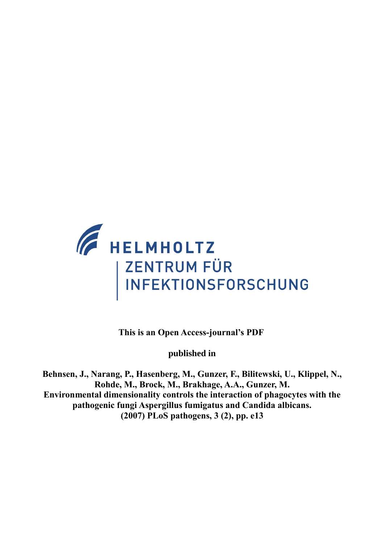

**This is an Open Access-journal's PDF** 

**published in**

**Behnsen, J., Narang, P., Hasenberg, M., Gunzer, F., Bilitewski, U., Klippel, N., Rohde, M., Brock, M., Brakhage, A.A., Gunzer, M. Environmental dimensionality controls the interaction of phagocytes with the pathogenic fungi Aspergillus fumigatus and Candida albicans. (2007) PLoS pathogens, 3 (2), pp. e13**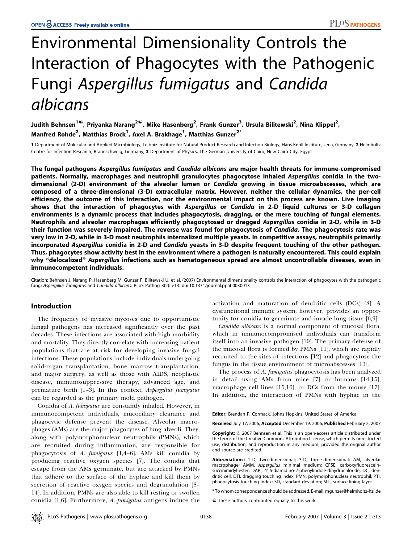# Environmental Dimensionality Controls the Interaction of Phagocytes with the Pathogenic Fungi Aspergillus fumigatus and Candida albicans

Judith Behnsen<sup>1©</sup>, Priyanka Narang<sup>2©</sup>, Mike Hasenberg<sup>2</sup>, Frank Gunzer<sup>3</sup>, Ursula Bilitewski<sup>2</sup>, Nina Klippel<sup>2</sup>, Manfred Rohde<sup>2</sup>, Matthias Brock<sup>1</sup>, Axel A. Brakhage<sup>1</sup>, Matthias Gunzer<sup>2\*</sup>

1 Department of Molecular and Applied Microbiology, Leibniz Institute for Natural Product Research and Infection Biology, Hans Knöll Institute, Jena, Germany, 2 Helmholtz Centre for Infection Research, Braunschweig, Germany, 3 Department of Physics, The German University of Cairo, New Cairo City, Egypt

The fungal pathogens Aspergillus fumigatus and Candida albicans are major health threats for immune-compromised patients. Normally, macrophages and neutrophil granulocytes phagocytose inhaled Aspergillus conidia in the twodimensional (2-D) environment of the alveolar lumen or Candida growing in tissue microabscesses, which are composed of a three-dimensional (3-D) extracellular matrix. However, neither the cellular dynamics, the per-cell efficiency, the outcome of this interaction, nor the environmental impact on this process are known. Live imaging shows that the interaction of phagocytes with Aspergillus or Candida in 2-D liquid cultures or 3-D collagen environments is a dynamic process that includes phagocytosis, dragging, or the mere touching of fungal elements. Neutrophils and alveolar macrophages efficiently phagocytosed or dragged Aspergillus conidia in 2-D, while in 3-D their function was severely impaired. The reverse was found for phagocytosis of Candida. The phagocytosis rate was very low in 2-D, while in 3-D most neutrophils internalized multiple yeasts. In competitive assays, neutrophils primarily incorporated Aspergillus conidia in 2-D and Candida yeasts in 3-D despite frequent touching of the other pathogen. Thus, phagocytes show activity best in the environment where a pathogen is naturally encountered. This could explain why "delocalized" Aspergillus infections such as hematogeneous spread are almost uncontrollable diseases, even in immunocompetent individuals.

Citation: Behnsen J, Narang P, Hasenberg M, Gunzer F, Bilitewski U, et al. (2007) Environmental dimensionality controls the interaction of phagocytes with the pathogenic fungi Aspergillus fumigatus and Candida albicans. PLoS Pathog 3(2): e13. doi:10.1371/journal.ppat.0030013

# Introduction

The frequency of invasive mycoses due to opportunistic fungal pathogens has increased significantly over the past decades. These infections are associated with high morbidity and mortality. They directly correlate with increasing patient populations that are at risk for developing invasive fungal infections. These populations include individuals undergoing solid-organ transplantation, bone marrow transplantation, and major surgery, as well as those with AIDS, neoplastic disease, immunosuppressive therapy, advanced age, and premature birth [1-3]. In this context, Aspergillus fumigatus can be regarded as the primary mold pathogen.

Conidia of A. fumigatus are constantly inhaled. However, in immunocompetent individuals, mucociliary clearance and phagocytic defense prevent the disease. Alveolar macrophages (AMs) are the major phagocytes of lung alveoli. They, along with polymorphonuclear neutrophils (PMNs), which are recruited during inflammation, are responsible for phagocytosis of A. fumigatus [1,4–6]. AMs kill conidia by producing reactive oxygen species [7]. The conidia that escape from the AMs germinate, but are attacked by PMNs that adhere to the surface of the hyphae and kill them by secretion of reactive oxygen species and degranulation [8– 14]. In addition, PMNs are also able to kill resting or swollen conidia [1,6]. Furthermore, A. fumigatus antigens induce the activation and maturation of dendritic cells (DCs) [8]. A dysfunctional immune system, however, provides an opportunity for conidia to germinate and invade lung tissue [6,9].

Candida albicans is a normal component of mucosal flora, which in immunocompromised individuals can transform itself into an invasive pathogen [10]. The primary defense of the mucosal flora is formed by PMNs [11], which are rapidly recruited to the sites of infections [12] and phagocytose the fungus in the tissue environment of microabscesses [13].

The process of A. fumigatus phagocytosis has been analyzed in detail using AMs from mice [7] or humans [14,15], macrophage cell lines [15,16], or DCs from the mouse [17]. In addition, the interaction of PMNs with hyphae in the

Editor: Brendan P. Cormack, Johns Hopkins, United States of America

Received July 17, 2006; Accepted December 19, 2006; Published February 2, 2007

Copyright: © 2007 Behnsen et al. This is an open-access article distributed under the terms of the Creative Commons Attribution License, which permits unrestricted use, distribution, and reproduction in any medium, provided the original author and source are credited.

Abbreviations: 2-D, two-dimensional; 3-D, three-dimensional; AM, alveolar macrophage; AMM, Aspergillus minimal medium; CFSE, carboxyfluoresceinsuccinimidyl-ester; DAPI, 4',6-diamidino-2-phenylindole-dihydrochloride; DC, dendritic cell; DTI, dragging touching index; PMN, polymorphonuclear neutrophil; PTI, phagocytosis touching index; SD, standard deviation; SLL, surface-lining layer

\* To whom correspondence should be addressed. E-mail: mgunzer@helmholtz-hzi.de

 $\bullet$  These authors contributed equally to this work.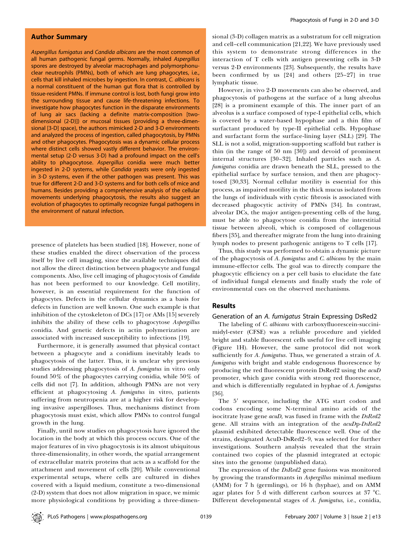## Author Summary

Aspergillus fumigatus and Candida albicans are the most common of all human pathogenic fungal germs. Normally, inhaled Aspergillus spores are destroyed by alveolar macrophages and polymorphonuclear neutrophils (PMNs), both of which are lung phagocytes, i.e., cells that kill inhaled microbes by ingestion. In contrast, C. albicans is a normal constituent of the human gut flora that is controlled by tissue-resident PMNs. If immune control is lost, both fungi grow into the surrounding tissue and cause life-threatening infections. To investigate how phagocytes function in the disparate environments of lung air sacs (lacking a definite matrix-composition [twodimensional (2-D)]) or mucosal tissues (providing a three-dimensional [3-D] space), the authors mimicked 2-D and 3-D environments and analyzed the process of ingestion, called phagocytosis, by PMNs and other phagocytes. Phagocytosis was a dynamic cellular process where distinct cells showed vastly different behavior. The environmental setup (2-D versus 3-D) had a profound impact on the cell's ability to phagocytose. Aspergillus conidia were much better ingested in 2-D systems, while Candida yeasts were only ingested in 3-D systems, even if the other pathogen was present. This was true for different 2-D and 3-D systems and for both cells of mice and humans. Besides providing a comprehensive analysis of the cellular movements underlying phagocytosis, the results also suggest an evolution of phagocytes to optimally recognize fungal pathogens in the environment of natural infection.

presence of platelets has been studied [18]. However, none of these studies enabled the direct observation of the process itself by live cell imaging, since the available techniques did not allow the direct distinction between phagocyte and fungal components. Also, live cell imaging of phagocytosis of Candida has not been performed to our knowledge. Cell motility, however, is an essential requirement for the function of phagocytes. Defects in the cellular dynamics as a basis for defects in function are well known. One such example is that inhibition of the cytoskeleton of DCs [17] or AMs [15] severely inhibits the ability of these cells to phagocytose Aspergillus conidia. And genetic defects in actin polymerization are associated with increased susceptibility to infections [19].

Furthermore, it is generally assumed that physical contact between a phagocyte and a conidium inevitably leads to phagocytosis of the latter. Thus, it is unclear why previous studies addressing phagocytosis of A. fumigatus in vitro only found 50% of the phagocytes carrying conidia, while 50% of cells did not [7]. In addition, although PMNs are not very efficient at phagocytosing A. fumigatus in vitro, patients suffering from neutropenia are at a higher risk for developing invasive aspergilloses. Thus, mechanisms distinct from phagocytosis must exist, which allow PMNs to control fungal growth in the lung.

Finally, until now studies on phagocytosis have ignored the location in the body at which this process occurs. One of the major features of in vivo phagocytosis is its almost ubiquitous three-dimensionality, in other words, the spatial arrangement of extracellular matrix proteins that acts as a scaffold for the attachment and movement of cells [20]. While conventional experimental setups, where cells are cultured in dishes covered with a liquid medium, constitute a two-dimensional (2-D) system that does not allow migration in space, we mimic more physiological conditions by providing a three-dimensional (3-D) collagen matrix as a substratum for cell migration and cell–cell communication [21,22]. We have previously used this system to demonstrate strong differences in the interaction of T cells with antigen presenting cells in 3-D versus 2-D environments [23]. Subsequently, the results have been confirmed by us [24] and others [25–27] in true lymphatic tissue.

However, in vivo 2-D movements can also be observed, and phagocytosis of pathogens at the surface of a lung alveolus [28] is a prominent example of this. The inner part of an alveolus is a surface composed of type-I epithelial cells, which is covered by a water-based hypophase and a thin film of surfactant produced by type-II epithelial cells. Hypophase and surfactant form the surface-lining layer (SLL) [29]. The SLL is not a solid, migration-supporting scaffold but rather is thin (in the range of 50 nm [30]) and devoid of prominent internal structures [30–32]. Inhaled particles such as A. fumigatus conidia are drawn beneath the SLL, pressed to the epithelial surface by surface tension, and then are phagocytosed [30,33]. Normal cellular motility is essential for this process, as impaired motility in the thick mucus isolated from the lungs of individuals with cystic fibrosis is associated with decreased phagocytic activity of PMNs [34]. In contrast, alveolar DCs, the major antigen-presenting cells of the lung, must be able to phagocytose conidia from the interstitial tissue between alveoli, which is composed of collagenous fibers [35], and thereafter migrate from the lung into draining lymph nodes to present pathogenic antigens to T cells [17].

Thus, this study was performed to obtain a dynamic picture of the phagocytosis of A. fumigatus and C. albicans by the main immune-effector cells. The goal was to directly compare the phagocytic efficiency on a per cell basis to elucidate the fate of individual fungal elements and finally study the role of environmental cues on the observed mechanisms.

# Results

Generation of an A. fumigatus Strain Expressing DsRed2

The labeling of *C. albicans* with carboxyfluorescein-succinimidyl-ester (CFSE) was a reliable procedure and yielded bright and stable fluorescent cells useful for live cell imaging (Figure 1H). However, the same protocol did not work sufficiently for A. fumigatus. Thus, we generated a strain of A. fumigatus with bright and stable endogenous fluorescence by producing the red fluorescent protein DsRed2 using the acuD promoter, which gave conidia with strong red fluorescence, and which is differentially regulated in hyphae of A. fumigatus [36].

The 5' sequence, including the ATG start codon and codons encoding some N-terminal amino acids of the isocitrate lyase gene *acuD*, was fused in frame with the DsRed2 gene. All strains with an integration of the acuDp-DsRed2 plasmid exhibited detectable fluorescence well. One of the strains, designated AcuD-DsRed2–9, was selected for further investigations. Southern analysis revealed that the strain contained two copies of the plasmid integrated at ectopic sites into the genome (unpublished data).

The expression of the DsRed2 gene fusions was monitored by growing the transformants in Aspergillus minimal medium (AMM) for 7 h (germlings), or 16 h (hyphae), and on AMM agar plates for 5 d with different carbon sources at  $37 \text{ °C}$ . Different developmental stages of A. fumigatus, i.e., conidia,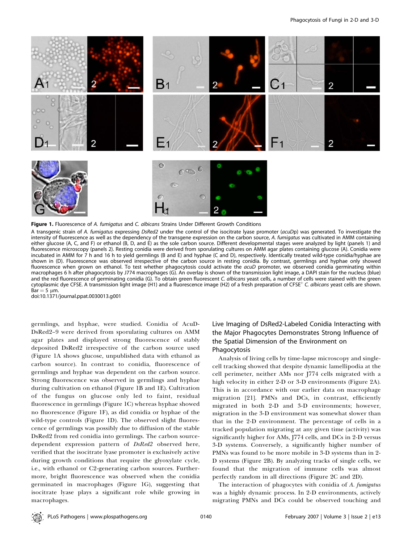

Figure 1. Fluorescence of A. fumigatus and C. albicans Strains Under Different Growth Conditions

A transgenic strain of A. fumigatus expressing DsRed2 under the control of the isocitrate lyase promoter (acuDp) was generated. To investigate the intensity of fluorescence as well as the dependency of the transgene expression on the carbon source, A. fumigatus was cultivated in AMM containing either glucose (A, C, and F) or ethanol (B, D, and E) as the sole carbon source. Different developmental stages were analyzed by light (panels 1) and fluorescence microscopy (panels 2). Resting conidia were derived from sporulating cultures on AMM agar plates containing glucose (A). Conidia were incubated in AMM for 7 h and 16 h to yield germlings (B and E) and hyphae (C and D), respectively. Identically treated wild-type conidia/hyphae are shown in (D). Fluorescence was observed irrespective of the carbon source in resting conidia. By contrast, germlings and hyphae only showed fluorescence when grown on ethanol. To test whether phagocytosis could activate the acuD promoter, we observed conidia germinating within macrophages 6 h after phagocytosis by J774 macrophages (G). An overlay is shown of the transmission light image, a DAPI stain for the nucleus (blue) and the red fluorescence of germinating conidia (G). To obtain green fluorescent C. albicans yeast cells, a number of cells were stained with the green cytoplasmic dye CFSE. A transmission light image (H1) and a fluorescence image (H2) of a fresh preparation of CFSE<sup>+</sup> C. albicans yeast cells are shown.  $Bar = 5 \mu m$ .

doi:10.1371/journal.ppat.0030013.g001

germlings, and hyphae, were studied. Conidia of AcuD-DsRed2–9 were derived from sporulating cultures on AMM agar plates and displayed strong fluorescence of stably deposited DsRed2 irrespective of the carbon source used (Figure 1A shows glucose, unpublished data with ethanol as carbon source). In contrast to conidia, fluorescence of germlings and hyphae was dependent on the carbon source. Strong fluorescence was observed in germlings and hyphae during cultivation on ethanol (Figure 1B and 1E). Cultivation of the fungus on glucose only led to faint, residual fluorescence in germlings (Figure 1C) whereas hyphae showed no fluorescence (Figure 1F), as did conidia or hyphae of the wild-type controls (Figure 1D). The observed slight fluorescence of germlings was possibly due to diffusion of the stable DsRed2 from red conidia into germlings. The carbon sourcedependent expression pattern of DsRed2 observed here, verified that the isocitrate lyase promoter is exclusively active during growth conditions that require the glyoxylate cycle, i.e., with ethanol or C2-generating carbon sources. Furthermore, bright fluorescence was observed when the conidia germinated in macrophages (Figure 1G), suggesting that isocitrate lyase plays a significant role while growing in macrophages.

# Live Imaging of DsRed2-Labeled Conidia Interacting with the Major Phagocytes Demonstrates Strong Influence of the Spatial Dimension of the Environment on Phagocytosis

Analysis of living cells by time-lapse microscopy and singlecell tracking showed that despite dynamic lamellipodia at the cell perimeter, neither AMs nor J774 cells migrated with a high velocity in either 2-D or 3-D environments (Figure 2A). This is in accordance with our earlier data on macrophage migration [21]. PMNs and DCs, in contrast, efficiently migrated in both 2-D and 3-D environments; however, migration in the 3-D environment was somewhat slower than that in the 2-D environment. The percentage of cells in a tracked population migrating at any given time (activity) was significantly higher for AMs, J774 cells, and DCs in 2-D versus 3-D systems. Conversely, a significantly higher number of PMNs was found to be more mobile in 3-D systems than in 2- D systems (Figure 2B). By analyzing tracks of single cells, we found that the migration of immune cells was almost perfectly random in all directions (Figure 2C and 2D).

The interaction of phagocytes with conidia of A. fumigatus was a highly dynamic process. In 2-D environments, actively migrating PMNs and DCs could be observed touching and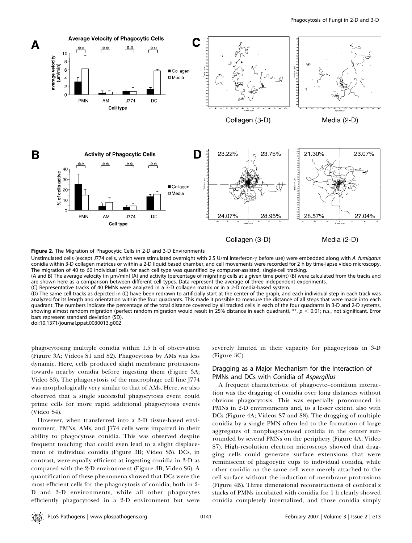

Figure 2. The Migration of Phagocytic Cells in 2-D and 3-D Environments

Unstimulated cells (except J774 cells, which were stimulated overnight with 2.5 U/ml interferon- $\gamma$  before use) were embedded along with A. fumigatus conidia within 3-D collagen matrices or within a 2-D liquid based chamber, and cell movements were recorded for 2 h by time-lapse video microscopy. The migration of 40 to 60 individual cells for each cell type was quantified by computer-assisted, single-cell tracking.

(A and B) The average velocity (in lm/min) (A) and activity (percentage of migrating cells at a given time point) (B) were calculated from the tracks and are shown here as a comparison between different cell types. Data represent the average of three independent experiments.

(C) Representative tracks of 40 PMNs were analyzed in a 3-D collagen matrix or in a 2-D media-based system.

(D) The same cell tracks as depicted in (C) have been redrawn to artificially start at the center of the graph, and each individual step in each track was analyzed for its length and orientation within the four quadrants. This made it possible to measure the distance of all steps that were made into each quadrant. The numbers indicate the percentage of the total distance covered by all tracked cells in each of the four quadrants in 3-D and 2-D systems, showing almost random migration (perfect random migration would result in 25% distance in each quadrant). \*\*,  $p < 0.01$ ; n.s., not significant. Error bars represent standard deviation (SD).

doi:10.1371/journal.ppat.0030013.g002

phagocytosing multiple conidia within 1.5 h of observation (Figure 3A; Videos S1 and S2). Phagocytosis by AMs was less dynamic. Here, cells produced slight membrane protrusions towards nearby conidia before ingesting them (Figure 3A; Video S3). The phagocytosis of the macrophage cell line J774 was morphologically very similar to that of AMs. Here, we also observed that a single successful phagocytosis event could prime cells for more rapid additional phagocytosis events (Video S4).

However, when transferred into a 3-D tissue-based environment, PMNs, AMs, and J774 cells were impaired in their ability to phagocytose conidia. This was observed despite frequent touching that could even lead to a slight displacement of individual conidia (Figure 3B; Video S5). DCs, in contrast, were equally efficient at ingesting conidia in 3-D as compared with the 2-D environment (Figure 3B; Video S6). A quantification of these phenomena showed that DCs were the most efficient cells for the phagocytosis of conidia, both in 2- D and 3-D environments, while all other phagocytes efficiently phagocytosed in a 2-D environment but were severely limited in their capacity for phagocytosis in 3-D (Figure 3C).

# Dragging as a Major Mechanism for the Interaction of PMNs and DCs with Conidia of Aspergillus

A frequent characteristic of phagocyte–conidium interaction was the dragging of conidia over long distances without obvious phagocytosis. This was especially pronounced in PMNs in 2-D environments and, to a lesser extent, also with DCs (Figure 4A; Videos S7 and S8). The dragging of multiple conidia by a single PMN often led to the formation of large aggregates of nonphagocytosed conidia in the center surrounded by several PMNs on the periphery (Figure 4A; Video S7). High-resolution electron microscopy showed that dragging cells could generate surface extensions that were reminiscent of phagocytic cups to individual conidia, while other conidia on the same cell were merely attached to the cell surface without the induction of membrane protrusions (Figure 4B). Three dimensional reconstructions of confocal z stacks of PMNs incubated with conidia for 1 h clearly showed conidia completely internalized, and those conidia simply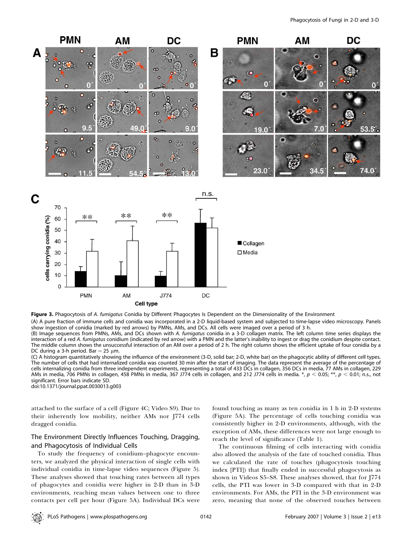

Figure 3. Phagocytosis of A. fumigatus Conidia by Different Phagocytes Is Dependent on the Dimensionality of the Environment

(A) A pure fraction of immune cells and conidia was incorporated in a 2-D liquid-based system and subjected to time-lapse video microscopy. Panels show ingestion of conidia (marked by red arrows) by PMNs, AMs, and DCs. All cells were imaged over a period of 3 h.

(B) Image sequences from PMNs, AMs, and DCs shown with A. fumigatus conidia in a 3-D collagen matrix. The left column time series displays the interaction of a red A. fumigatus conidium (indicated by red arrow) with a PMN and the latter's inability to ingest or drag the conidium despite contact. The middle column shows the unsuccessful interaction of an AM over a period of 2 h. The right column shows the efficient uptake of four conidia by a DC during a 3-h period. Bar  $=$  25  $\mu$ m.

(C) A histogram quantitatively showing the influence of the environment (3-D, solid bar; 2-D, white bar) on the phagocytic ability of different cell types. The number of cells that had internalized conidia was counted 30 min after the start of imaging. The data represent the average of the percentage of cells internalizing conidia from three independent experiments, representing a total of 433 DCs in collagen, 356 DCs in media, 77 AMs in collagen, 229 AMs in media, 706 PMNs in collagen, 458 PMNs in media, 367 J774 cells in collagen, and 212 J774 cells in media. \*,  $p < 0.05$ ; \*\*,  $p < 0.01$ ; n.s., not significant. Error bars indicate SD.

doi:10.1371/journal.ppat.0030013.g003

attached to the surface of a cell (Figure 4C; Video S9). Due to their inherently low mobility, neither AMs nor J774 cells dragged conidia.

# The Environment Directly Influences Touching, Dragging, and Phagocytosis of Individual Cells

To study the frequency of conidium–phagocyte encounters, we analyzed the physical interaction of single cells with individual conidia in time-lapse video sequences (Figure 5). These analyses showed that touching rates between all types of phagocytes and conidia were higher in 2-D than in 3-D environments, reaching mean values between one to three contacts per cell per hour (Figure 5A). Individual DCs were

found touching as many as ten conidia in 1 h in 2-D systems (Figure 5A). The percentage of cells touching conidia was consistently higher in 2-D environments, although, with the exception of AMs, these differences were not large enough to reach the level of significance (Table 1).

The continuous filming of cells interacting with conidia also allowed the analysis of the fate of touched conidia. Thus we calculated the rate of touches (phagocytosis touching index [PTI]) that finally ended in successful phagocytosis as shown in Videos S5–S8. These analyses showed, that for J774 cells, the PTI was lower in 3-D compared with that in 2-D environments. For AMs, the PTI in the 3-D environment was zero, meaning that none of the observed touches between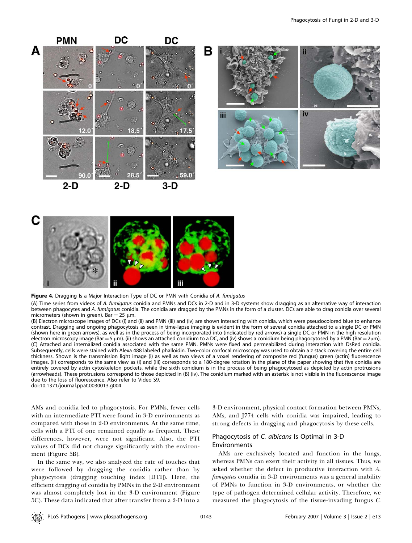

2-D 2-D





Figure 4. Dragging Is a Major Interaction Type of DC or PMN with Conidia of A. fumigatus

(A) Time series from videos of A. fumigatus conidia and PMNs and DCs in 2-D and in 3-D systems show dragging as an alternative way of interaction between phagocytes and A. fumigatus conidia. The conidia are dragged by the PMNs in the form of a cluster. DCs are able to drag conidia over several micrometers (shown in green). Bar =  $25 \mu m$ .

(B) Electron microscope images of DCs (i) and (ii) and PMN (iii) and (iv) are shown interacting with conidia, which were pseudocolored blue to enhance contrast. Dragging and ongoing phagocytosis as seen in time-lapse imaging is evident in the form of several conidia attached to a single DC or PMN (shown here in green arrows), as well as in the process of being incorporated into (indicated by red arrows) a single DC or PMN in the high resolution electron microscopy image (Bar = 5 μm). (ii) shows an attached conidium to a DC, and (iv) shows a conidium being phagocytosed by a PMN (Bar = 2μm). (C) Attached and internalized conidia associated with the same PMN. PMNs were fixed and permeabilized during interaction with DsRed conidia. Subsequently, cells were stained with Alexa 488 labeled phalloidin. Two-color confocal microscopy was used to obtain a z stack covering the entire cell thickness. Shown is the transmission light image (i) as well as two views of a voxel rendering of composite red (fungus) green (actin) fluorescence images. (ii) corresponds to the same view as (i) and (iii) corresponds to a 180-degree rotation in the plane of the paper showing that five conidia are entirely covered by actin cytoskeleton pockets, while the sixth conidium is in the process of being phagocytosed as depicted by actin protrusions (arrowheads). These protrusions correspond to those depicted in (B) (iv). The conidium marked with an asterisk is not visible in the fluorescence image due to the loss of fluorescence. Also refer to Video S9.

doi:10.1371/journal.ppat.0030013.g004

C

AMs and conidia led to phagocytosis. For PMNs, fewer cells with an intermediate PTI were found in 3-D environments as compared with those in 2-D environments. At the same time, cells with a PTI of one remained equally as frequent. These differences, however, were not significant. Also, the PTI values of DCs did not change significantly with the environment (Figure 5B).

In the same way, we also analyzed the rate of touches that were followed by dragging the conidia rather than by phagocytosis (dragging touching index [DTI]). Here, the efficient dragging of conidia by PMNs in the 2-D environment was almost completely lost in the 3-D environment (Figure 5C). These data indicated that after transfer from a 2-D into a

3-D environment, physical contact formation between PMNs, AMs, and J774 cells with conidia was impaired, leading to strong defects in dragging and phagocytosis by these cells.

# Phagocytosis of C. albicans Is Optimal in 3-D Environments

AMs are exclusively located and function in the lungs, whereas PMNs can exert their activity in all tissues. Thus, we asked whether the defect in productive interaction with A. fumigatus conidia in 3-D environments was a general inability of PMNs to function in 3-D environments, or whether the type of pathogen determined cellular activity. Therefore, we measured the phagocytosis of the tissue-invading fungus C.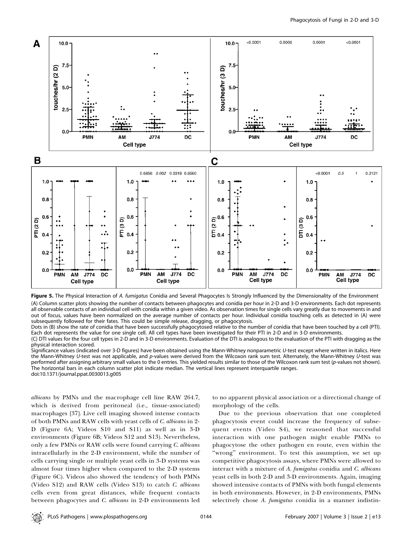

Figure 5. The Physical Interaction of A. fumigatus Conidia and Several Phagocytes Is Strongly Influenced by the Dimensionality of the Environment (A) Column scatter plots showing the number of contacts between phagocytes and conidia per hour in 2-D and 3-D environments. Each dot represents all observable contacts of an individual cell with conidia within a given video. As observation times for single cells vary greatly due to movements in and out of focus, values have been normalized on the average number of contacts per hour. Individual conidia touching cells as detected in (A) were subsequently followed for their fates. This could be simple release, dragging, or phagocytosis.

Dots in (B) show the rate of conidia that have been successfully phagocytosed relative to the number of conidia that have been touched by a cell (PTI). Each dot represents the value for one single cell. All cell types have been investigated for their PTI in 2-D and in 3-D environments.

(C) DTI values for the four cell types in 2-D and in 3-D environments. Evaluation of the DTI is analogous to the evaluation of the PTI with dragging as the physical interaction scored.

Significance values (indicated over 3-D figures) have been obtained using the Mann-Whitney nonparametric U-test except where written in italics. Here the Mann-Whitney U-test was not applicable, and p-values were derived from the Wilcoxon rank sum test. Alternately, the Mann-Whitney U-test was performed after assigning arbitrary small values to the 0 entries. This yielded results similar to those of the Wilcoxon rank sum test (p-values not shown). The horizontal bars in each column scatter plot indicate median. The vertical lines represent interquartile ranges. doi:10.1371/journal.ppat.0030013.g005

albicans by PMNs and the macrophage cell line RAW 264.7, which is derived from peritoneal (i.e., tissue-associated) macrophages [37]. Live cell imaging showed intense contacts of both PMNs and RAW cells with yeast cells of C. albicans in 2- D (Figure 6A; Videos S10 and S11) as well as in 3-D environments (Figure 6B; Videos S12 and S13). Nevertheless, only a few PMNs or RAW cells were found carrying C. albicans intracellularly in the 2-D environment, while the number of cells carrying single or multiple yeast cells in 3-D systems was almost four times higher when compared to the 2-D systems (Figure 6C). Videos also showed the tendency of both PMNs (Video S12) and RAW cells (Video S13) to catch C. albicans cells even from great distances, while frequent contacts between phagocytes and C. albicans in 2-D environments led

to no apparent physical association or a directional change of morphology of the cells.

Due to the previous observation that one completed phagocytosis event could increase the frequency of subsequent events (Video S4), we reasoned that successful interaction with one pathogen might enable PMNs to phagocytose the other pathogen en route, even within the ''wrong'' environment. To test this assumption, we set up competitive phagocytosis assays, where PMNs were allowed to interact with a mixture of A. fumigatus conidia and C. albicans yeast cells in both 2-D and 3-D environments. Again, imaging showed intensive contacts of PMNs with both fungal elements in both environments. However, in 2-D environments, PMNs selectively chose A. fumigatus conidia in a manner indistin-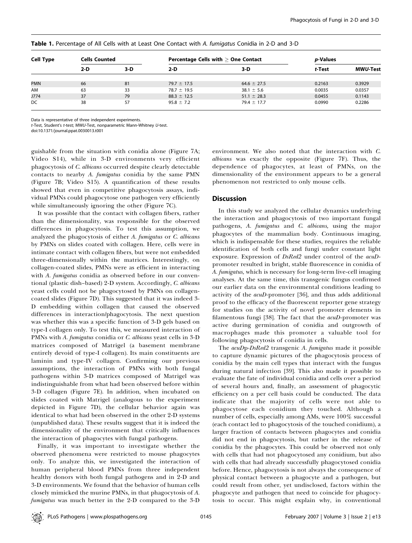| <b>Cell Type</b> | <b>Cells Counted</b> |       | Percentage Cells with $>$ One Contact |                 | <i>p</i> -Values |          |
|------------------|----------------------|-------|---------------------------------------|-----------------|------------------|----------|
|                  | $2-D$                | $3-D$ | $2-D$                                 | 3-D             | t-Test           | MWU-Test |
| <b>PMN</b>       | 66                   | 81    | $79.7 \pm 17.5$                       | $64.6 \pm 27.5$ | 0.2163           | 0.3929   |
| AM               | 63                   | 33    | $78.7 \pm 19.5$                       | $38.1 \pm 5.6$  | 0.0035           | 0.0357   |
| J774             | 37                   | 79    | $88.3 \pm 12.5$                       | $51.1 \pm 28.3$ | 0.0455           | 0.1143   |
| DC               | 38                   | 57    | $95.8 \pm 7.2$                        | $79.4 \pm 17.7$ | 0.0990           | 0.2286   |

Table 1. Percentage of All Cells with at Least One Contact with A. fumigatus Conidia in 2-D and 3-D

Data is representative of three independent experiments.

t-Test, Student's t-test; MWU-Test, nonparametric Mann-Whitney U-test.

doi:10.1371/journal.ppat.0030013.t001

guishable from the situation with conidia alone (Figure 7A; Video S14), while in 3-D environments very efficient phagocytosis of C. albicans occurred despite clearly detectable contacts to nearby A. fumigatus conidia by the same PMN (Figure 7B; Video S15). A quantification of these results showed that even in competitive phagocytosis assays, individual PMNs could phagocytose one pathogen very efficiently while simultaneously ignoring the other (Figure 7C).

It was possible that the contact with collagen fibers, rather than the dimensionality, was responsible for the observed differences in phagocytosis. To test this assumption, we analyzed the phagocytosis of either A. fumigatus or C. albicans by PMNs on slides coated with collagen. Here, cells were in intimate contact with collagen fibers, but were not embedded three-dimensionally within the matrices. Interestingly, on collagen-coated slides, PMNs were as efficient in interacting with A. fumigatus conidia as observed before in our conventional (plastic dish–based) 2-D system. Accordingly, C. albicans yeast cells could not be phagocytosed by PMNs on collagencoated slides (Figure 7D). This suggested that it was indeed 3- D embedding within collagen that caused the observed differences in interaction/phagocytosis. The next question was whether this was a specific function of 3-D gels based on type-I collagen only. To test this, we measured interaction of PMNs with A. fumigatus conidia or C. albicans yeast cells in 3-D matrices composed of Matrigel (a basement membrane entirely devoid of type-I collagen). Its main constituents are laminin and type-IV collagen. Confirming our previous assumptions, the interaction of PMNs with both fungal pathogens within 3-D matrices composed of Matrigel was indistinguishable from what had been observed before within 3-D collagen (Figure 7E). In addition, when incubated on slides coated with Matrigel (analogous to the experiment depicted in Figure 7D), the cellular behavior again was identical to what had been observed in the other 2-D systems (unpublished data). These results suggest that it is indeed the dimensionality of the environment that critically influences the interaction of phagocytes with fungal pathogens.

Finally, it was important to investigate whether the observed phenomena were restricted to mouse phagocytes only. To analyze this, we investigated the interaction of human peripheral blood PMNs from three independent healthy donors with both fungal pathogens and in 2-D and 3-D environments. We found that the behavior of human cells closely mimicked the murine PMNs, in that phagocytosis of A. fumigatus was much better in the 2-D compared to the 3-D

environment. We also noted that the interaction with C. albicans was exactly the opposite (Figure 7F). Thus, the dependence of phagocytes, at least of PMNs, on the dimensionality of the environment appears to be a general phenomenon not restricted to only mouse cells.

## **Discussion**

In this study we analyzed the cellular dynamics underlying the interaction and phagocytosis of two important fungal pathogens, A. fumigatus and C. albicans, using the major phagocytes of the mammalian body. Continuous imaging, which is indispensable for these studies, requires the reliable identification of both cells and fungi under constant light exposure. Expression of DsRed2 under control of the acuDpromoter resulted in bright, stable fluorescence in conidia of A. fumigatus, which is necessary for long-term live-cell imaging analyses. At the same time, this transgenic fungus confirmed our earlier data on the environmental conditions leading to activity of the acuD-promoter [36], and thus adds additional proof to the efficacy of the fluorescent reporter gene strategy for studies on the activity of novel promoter elements in filamentous fungi [38]. The fact that the *acuD*-promoter was active during germination of conidia and outgrowth of macrophages made this promoter a valuable tool for following phagocytosis of conidia in cells.

The acuDp-DsRed2 transgenic A. fumigatus made it possible to capture dynamic pictures of the phagocytosis process of conidia by the main cell types that interact with the fungus during natural infection [39]. This also made it possible to evaluate the fate of individual conidia and cells over a period of several hours and, finally, an assessment of phagocytic efficiency on a per cell basis could be conducted. The data indicate that the majority of cells were not able to phagocytose each conidium they touched. Although a number of cells, especially among AMs, were 100% successful (each contact led to phagocytosis of the touched conidium), a larger fraction of contacts between phagocytes and conidia did not end in phagocytosis, but rather in the release of conidia by the phagocytes. This could be observed not only with cells that had not phagocytosed any conidium, but also with cells that had already successfully phagocytosed conidia before. Hence, phagocytosis is not always the consequence of physical contact between a phagocyte and a pathogen, but could result from other, yet undisclosed, factors within the phagocyte and pathogen that need to coincide for phagocytosis to occur. This might explain why, in conventional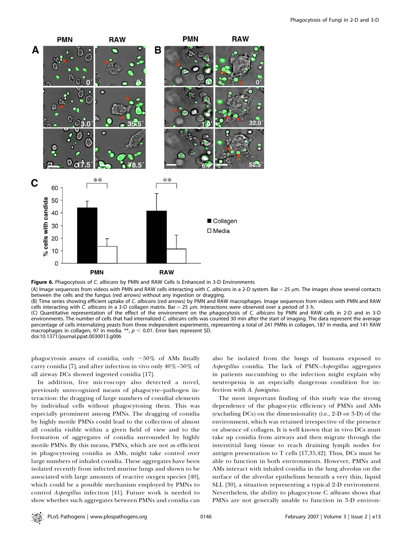

Figure 6. Phagocytosis of C. albicans by PMN and RAW Cells Is Enhanced in 3-D Environments

(A) Image sequences from videos with PMN and RAW cells interacting with C. albicans in a 2-D system. Bar = 25 µm. The images show several contacts between the cells and the fungus (red arrows) without any ingestion or dragging.

(B) Time series showing efficient uptake of C. albicans (red arrows) by PMN and RAW macrophages. Image sequences from videos with PMN and RAW cells interacting with C. albicans in a 3-D collagen matrix. Bar = 25  $\mu$ m. Interactions were observed over a period of 3 h.

(C) Quantitative representation of the effect of the environment on the phagocytosis of C. albicans by PMN and RAW cells in 2-D and in 3-D environments. The number of cells that had internalized C. albicans cells was counted 30 min after the start of imaging. The data represent the average percentage of cells internalizing yeasts from three independent experiments, representing a total of 241 PMNs in collagen, 187 in media, and 141 RAW macrophages in collagen, 97 in media. \*\*,  $p < 0.01$ . Error bars represent SD. doi:10.1371/journal.ppat.0030013.g006

phagocytosis assays of conidia, only  $\sim 50\%$  of AMs finally carry conidia [7], and after infection in vivo only  $40\% - 50\%$  of all airway DCs showed ingested conidia [17].

In addition, live microscopy also detected a novel, previously unrecognized means of phagocyte–pathogen interaction: the dragging of large numbers of conidial elements by individual cells without phagocytosing them. This was especially prominent among PMNs. The dragging of conidia by highly motile PMNs could lead to the collection of almost all conidia visible within a given field of view and to the formation of aggregates of conidia surrounded by highly motile PMNs. By this means, PMNs, which are not as efficient in phagocytosing conidia as AMs, might take control over large numbers of inhaled conidia. These aggregates have been isolated recently from infected murine lungs and shown to be associated with large amounts of reactive oxygen species [40], which could be a possible mechanism employed by PMNs to control Aspergillus infection [41]. Future work is needed to show whether such aggregates between PMNs and conidia can also be isolated from the lungs of humans exposed to Aspergillus conidia. The lack of PMN–Aspergillus aggregates in patients succumbing to the infection might explain why neutropenia is an especially dangerous condition for infection with A. fumigatus.

The most important finding of this study was the strong dependence of the phagocytic efficiency of PMNs and AMs (excluding DCs) on the dimensionality (i.e., 2-D or 3-D) of the environment, which was retained irrespective of the presence or absence of collagen. It is well known that in vivo DCs must take up conidia from airways and then migrate through the interstitial lung tissue to reach draining lymph nodes for antigen presentation to T cells [17,35,42]. Thus, DCs must be able to function in both environments. However, PMNs and AMs interact with inhaled conidia in the lung alveolus on the surface of the alveolar epithelium beneath a very thin, liquid SLL [30], a situation representing a typical 2-D environment. Nevertheless, the ability to phagocytose C. albicans shows that PMNs are not generally unable to function in 3-D environ-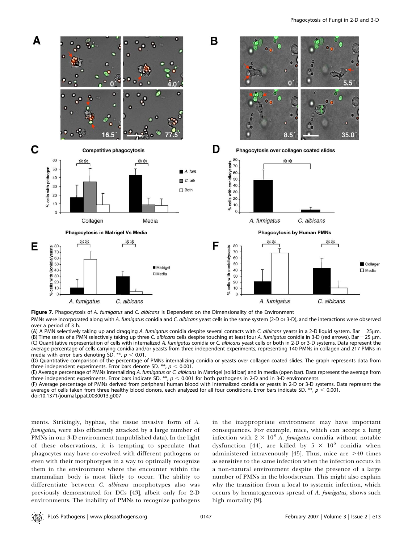

Figure 7. Phagocytosis of A. fumigatus and C. albicans Is Dependent on the Dimensionality of the Environment

PMNs were incorporated along with A. fumigatus conidia and C. albicans yeast cells in the same system (2-D or 3-D), and the interactions were observed over a period of 3 h.

(A) A PMN selectively taking up and dragging A. fumigatus conidia despite several contacts with C. albicans yeasts in a 2-D liquid system. Bar = 25µm. (B) Time series of a PMN selectively taking up three C. albicans cells despite touching at least four A. fumigatus conidia in 3-D (red arrows). Bar  $=$  25 µm. (C) Quantitative representation of cells with internalized A. fumigatus conidia or C. albicans yeast cells or both in 2-D or 3-D systems. Data represent the average percentage of cells carrying conidia and/or yeasts from three independent experiments, representing 140 PMNs in collagen and 217 PMNs in media with error bars denoting SD. \*\*,  $p < 0.01$ .

(D) Quantitative comparison of the percentage of PMNs internalizing conidia or yeasts over collagen coated slides. The graph represents data from three independent experiments. Error bars denote SD. \*\*,  $p < 0.001$ .

(E) Average percentage of PMNs internalizing A. fumigatus or C. albicans in Matrigel (solid bar) and in media (open bar). Data represent the average from three independent experiments. Error bars indicate SD. \*\*,  $p < 0.001$  for both pathogens in 2-D and in 3-D environments.

(F) Average percentage of PMNs derived from peripheral human blood with internalized conidia or yeasts in 2-D or 3-D systems. Data represent the average of cells taken from three healthy blood donors, each analyzed for all four conditions. Error bars indicate SD. \*\*,  $p < 0.001$ .

doi:10.1371/journal.ppat.0030013.g007

ments. Strikingly, hyphae, the tissue invasive form of A. fumigatus, were also efficiently attacked by a large number of PMNs in our 3-D environment (unpublished data). In the light of these observations, it is tempting to speculate that phagocytes may have co-evolved with different pathogens or even with their morphotypes in a way to optimally recognize them in the environment where the encounter within the mammalian body is most likely to occur. The ability to differentiate between C. albicans morphotypes also was previously demonstrated for DCs [43], albeit only for 2-D environments. The inability of PMNs to recognize pathogens

in the inappropriate environment may have important consequences. For example, mice, which can accept a lung infection with  $2 \times 10^8$  A. fumigatus conidia without notable dysfunction [44], are killed by  $5 \times 10^6$  conidia when administered intravenously [45]. Thus, mice are  $>40$  times as sensitive to the same infection when the infection occurs in a non-natural environment despite the presence of a large number of PMNs in the bloodstream. This might also explain why the transition from a local to systemic infection, which occurs by hematogeneous spread of A. fumigatus, shows such high mortality [9].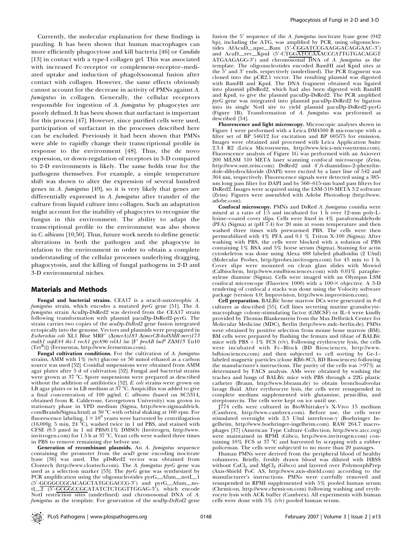Currently, the molecular explanation for these findings is puzzling. It has been shown that human macrophages can more efficiently phagocytose and kill bacteria [46] or *Candida* [13] in contact with a type-I collagen gel. This was associated with increased Fc-receptor or complement-receptor–mediated uptake and induction of phagolysosomal fusion after contact with collagen. However, the same effects obviously cannot account for the decrease in activity of PMNs against A. fumigatus in collagen. Generally, the cellular receptors responsible for ingestion of A. fumigatus by phagocytes are poorly defined. It has been shown that surfactant is important for this process [47]. However, since purified cells were used, participation of surfactant in the processes described here can be excluded. Previously it had been shown that PMNs were able to rapidly change their transcriptional profile in response to the environment [48]. Thus, the de novo expression, or down-regulation of receptors in 3-D compared to 2-D environments is likely. The same holds true for the pathogens themselves. For example, a simple temperature shift was shown to alter the expression of several hundred genes in A. fumigatus [49], so it is very likely that genes are differentially expressed in A. fumigatus after transfer of the culture from liquid culture into collagen. Such an adaptation might account for the inability of phagocytes to recognize the fungus in this environment. The ability to adapt the transcriptional profile to the environment was also shown in C. albicans [10,50]. Thus, future work needs to define genetic alterations in both the pathogen and the phagocyte in relation to the environment in order to obtain a complete understanding of the cellular processes underlying dragging, phagocytosis, and the killing of fungal pathogens in 2-D and 3-D environmental niches.

## Materials and Methods

Fungal and bacterial strains. CEA17 is a uracil-auxotrophic A. fumigatus strain, which encodes a mutated  $pyrG$  gene [51]. The A. fumigatus strain AcuDp-DsRed2 was derived from the CEA17 strain following transformation with plasmid pacuDp-DsRed2-pyrG. The strain carries two copies of the  $acuDp-DsRed2$  gene fusion integrated ectopically into the genome. Vectors and plasmids were propagated in Escherichia coli XL1 Blue MRF' ( $\Delta$ (mcrA)183  $\Delta$ (mcrCB-hsdSMR-mrr)173 endA1 supE44 thi-1 recA1 gyrA96 relA1 lac [F' proAB lacI<sup>q</sup> Z $\Delta M$ 15 Tn10  $(Tet^{R})$ ) (Fermentas, http://www.fermentas.com).

Fungal cultivation conditions. For the cultivation of A. fumigatus strains, AMM with  $1\%$  (w/v) glucose or 50 mmol ethanol as a carbon source was used [52]. Conidial suspensions were obtained from AMM agar plates after 5 d of cultivation [52]. Fungal and bacterial strains were grown at 37 °C. Spore suspensions were prepared as described without the addition of antibiotics [52]. E. coli strains were grown on LB agar plates or in LB medium at  $37^{\circ}$ C. Ampicillin was added to give a final concentration of 100 µg/ml. C. albicans (based on SC5314, obtained from R. Calderone, Georgetown University) was grown to stationary phase in YPD medium (Sigma, http://www.sigmaaldrich.  $\text{com/Brands/Sigma.html}$ ) at  $30\text{ °C}$  with orbital shaking at  $160\text{ rpm}$ . For fluorescence labeling,  $1 \times 10^8$  yeasts were harvested by centrifugation (16,000g, 5 min, 24 °C), washed twice in 1 ml PBS, and stained with CFSE  $(0.5 \text{ }\mu\text{mol} \text{ in } 1 \text{ }\text{ml } PBS/0.1\% \text{ DMSO})$  (Invitrogen, http://www. invitrogen.com) for 1.5 h at  $37^{\circ}$ C. Yeast cells were washed three times in PBS to remove remaining dye before use.

Generation of recombinant plasmids. An A. fumigatus sequence containing the promoter from the acuD gene encoding isocitrate lyase [36] was used. The pDsRed2 vector was obtained from Clontech (http://www.clontech.com). The A. fumigatus pyrG gene was used as a selection marker [53]. The pyrG gene was synthesized by PCR amplification using the oligonucleotides pyrG\_Afum\_notI\_1 (5'-GCGGCCGCACAGCTATGCGACCG-3') and pyrG\_Afum\_notI\_2 (5'-GCGGCCGCATATCTCTGGTTGGAG-3'), which encode NotI restriction sites (underlined) and chromosomal DNA of A. fumigatus as the template. For generation of the acuDp-DsRed2 gene

fusion the  $5'$  sequence of the A. fumigatus isocitrate lyase gene (942) bp), including the ATG, was amplified by PCR, using oligonucleotides AfAcuD\_upst\_Bam (5'-CGGATCCGAAGGACAGGAAC-3') and AcuD\_rev\_KpnI (5'-CTGGATCCAAACCCATTGTGACAGGT ATGAAGAGG-3') and chromosomal DNA of A. fumigatus as the template. The oligonucleotides encoded BamHI and KpnI sites at the  $5'$  and  $3'$  ends, respectively (underlined). The PCR fragment was cloned into the pCR2.1 vector. The resulting plasmid was digested with BamHI and KpnI. The DNA fragment obtained was ligated into plasmid pDsRed2, which had also been digested with BamHI and KpnI, to give the plasmid pacuDp-DsRed2. The PCR amplified pyrG gene was integrated into plasmid pacuDp-DsRed2 by ligation into its single NotI site to yield plasmid pacuDp-DsRed2-pyrG (Figure 1B). Transformation of A. fumigatus was performed as described [54].

Fluorescence and light microscopy. Microscopic analyses shown in Figure 1 were performed with a Leica DM4500 B microscope with a filter set of BP 546/12 for excitation and BP 605/75 for emission. Images were obtained and processed with Leica Application Suite 2.3.4 R2 (Leica Microsystems, http://www.leica-microsystems.com). Fluorescence analysis of Figure 1G was performed with an Axiovert 200 M/LSM 510 META laser scanning confocal microscope (Zeiss, http://www.smt.zeiss.com). DsRed2 and 4',6-diamidino-2-phenylindole-dihydrochloride (DAPI) were excited by a laser line of 542 and 364 nm, respectively. Fluorescence signals were detected using a 385 nm long pass filter for DAPI and by 560–615-nm band pass filters for DsRed2. Images were acquired using the LSM-510-META 3.2 software (Zeiss). Figures were assembled with Adobe Photoshop (http://www. adobe.com).

Confocal microscopy. PMNs and DsRed A. fumigatus conidia were mixed at a ratio of 1:5 and incubated for 1 h over 12-mm poly-Llysine–coated cover slips. Cells were fixed in 4% paraformaldehyde (PFA) (Sigma) at (pH 7.4) for 20 min at room temperature and then washed three times with prewarmed PBS. The cells were then permeabilized with 4% PFA and 0.1 % Triton X-100 (Sigma). After washing with PBS, the cells were blocked with a solution of PBS containing 1% BSA and 5% horse serum (Sigma). Staining for actin cytoskeleton was done using Alexa 488 labeled phalloidin (2 U/ml) (Molecular Probes, http://probes.invitrogen.com) for 45 min to 1 h. Cover slips were mounted on clean glass slides with Mowiol (Calbiochem, http://www.emdbiosciences.com) with 0.01% paraphenylene diamine (Sigma). Cells were imaged with an Olympus LSM confocal microscope (Fluoview 1000) with a  $100-\times$  objective. A 3-D rendering of confocal z stacks was done using the Volocity software package (version 4.0; Improvision, http://www.improvision.com).

Cell preparation. BALB/c bone marrow DCs were generated in 8-d cultures as described [55]. Cell lines secreting murine granulocytemacrophage colony-stimulating factor (GMCSF) or IL-4 were kindly provided by Thomas Blankenstein from the Max Delbrück Center for Molecular Medicine (MDC), Berlin (http://www.mdc-berlin.de). PMNs were obtained by positive selection from mouse bone marrow (BM). BM cells were prepared by flushing the femurs and tibiae of BALB/c mice with  $PBS + 1\%$  FCS (v/v). Following erythrocyte lysis, the cells were incubated with Fc–Block (BD Biosciences, http://www. bdbiosciences.com) and then subjected to cell sorting by Gr-1– labeled magnetic particles (clone RB6-8C5, BD Biosciences) following the manufacturer's instructions. The purity of the cells was  $>97\%$  as determined by FACS analysis. AMs were obtained by washing the trachea and lungs of BALB/c mice with PBS through a 22G plastic catheter (Braun, http://www.bbraun.de) to obtain bronchoalveolar lavage fluid. After erythrocyte lysis, the cells were resuspended in complete medium supplemented with glutamine, penicillin, and streptomycin. The cells were kept on ice until use.

J774 cells were cultured in BioWhittaker's X-Vivo 15 medium (Cambrex, http://www.cambrex.com). Before use, the cells were<br>stimulated overnight with 2.5 U/ml interferon- $\gamma$  (Boehringer Ingelheim, http://www.boehringer-ingelheim.com). RAW 264.7 macrophages [37] (American Type Culture Collection, http://www.atcc.org) were maintained in RPMI (Gibco, http://www.invitrogen.com) containing 10% FCS at 37 °C and harvested by scraping with a rubber policeman. The cells were subjected to no more than 20 passages.

Human PMNs were derived from the peripheral blood of healthy volunteers. Briefly, freshly drawn blood was diluted with HBSS without  $\mathrm{CaCl}_{2}$  and  $\mathrm{MgCl}_{2}$  (Gibco) and layered over PolymorphPrep (Axis-Shield PoC AS, http://www.axis-shield.com) according to the manufacturer's instructions. PMNs were carefully removed and resuspended in RPMI supplemented with 5% pooled human serum (Chemicon, http://www.chemicon.com) following washing and erythrocyte lysis with ACK buffer (Cambrex). All experiments with human cells were done with  $5\%$  (v/v) pooled human serum.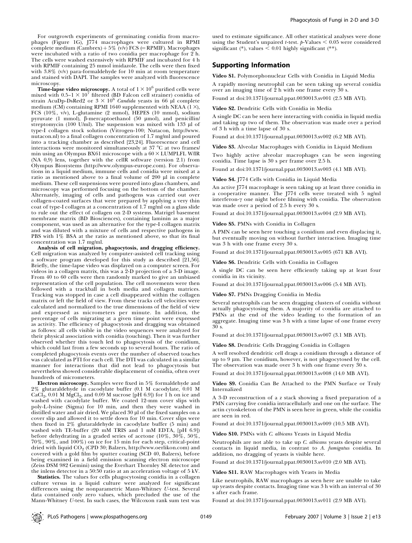For outgrowth experiments of germinating conidia from macrophages (Figure 1G), J774 macrophages were cultured in RPMI complete medium (Cambrex) +  $5\%$  (v/v) FCS (= RPMIF). Macrophages were incubated with a ratio of two conidia per macrophage for 2 h. The cells were washed extensively with RPMIF and incubated for 4 h with RPMIF containing 25 mmol imidazole. The cells were then fixed with 3.8% (v/v) para-formaldehyde for 10 min at room temperature and stained with DAPI. The samples were analyzed with fluorescence microscopy.

**Time-lapse video microscopy.** A total of  $1 \times 10^6$  purified cells were mixed with  $0.5-1 \times 10^7$  filtered (BD Falcon cell strainer) conidia of strain AcuDp-DsRed2 or  $3 \times 10^6$  Candida yeasts in 66 µl complete medium (CM) containing RPMI 1640 supplemented with NEAA  $(1 \times)$ , FCS (10%, v/v), L-glutamine (2 mmol), HEPES (10 mmol), sodium pyruvate (1 mmol),  $\beta$ -mercaptoethanol (50 µmol), and penicillin/ streptomycin (100 U/ml). The suspension was mixed with 133 µl of type-I collagen stock solution (Vitrogen-100; Nutacon, http://www. nutacon.nl) to a final collagen concentration of 1.7 mg/ml and poured into a tracking chamber as described [23,24]. Fluorescence and cell interactions were monitored simultaneously at 37 °C at two frames/ min using an Olympus BX61 microscope with a  $60 \times$  LUMPLFL W/IR (NA 0,9) lens, together with the cellR software (version 2.1) from Olympus Biosystems (http://www.olympus-europe.com). For observations in a liquid medium, immune cells and conidia were mixed at a ratio as mentioned above to a final volume of 200 µl in complete medium. These cell suspensions were poured into glass chambers, and microscopy was performed focusing on the bottom of the chamber. Alternately, imaging of cells and pathogens was carried out over collagen-coated surfaces that were prepared by applying a very thin coat of type-I collagen at a concentration of 1.7 mg/ml on a glass slide to rule out the effect of collagen on 2-D systems. Matrigel basement membrane matrix (BD Biosciences), containing laminin as a major component, was used as an alternative for the type-I collagen matrix and was diluted with a mixture of cells and respective pathogens in PBS with 1% BSA at the ratio as mentioned above, so that its final concentration was 1.7 mg/ml.

Analysis of cell migration, phagocytosis, and dragging efficiency. Cell migration was analyzed by computer-assisted cell tracking using a software program developed for this study as described [21,56]. Briefly, the time-lapse video was displayed on a computer screen. For videos in a collagen matrix, this was a 2-D projection of a 3-D image. From 40 to 60 cells were then randomly marked to give an unbiased representation of the cell population. The cell movements were then followed with a trackball in both media and collagen matrices. Tracking was stopped in case a cell disappeared within the collagen matrix or left the field of view. From these tracks cell velocities were calculated and normalized to the true dimensions of the field of view and expressed as micrometers per minute. In addition, the percentage of cells migrating at a given time point were expressed as activity. The efficiency of phagocytosis and dragging was obtained as follows: all cells visible in the video sequences were analyzed for their physical association with conidia (touching). Then it was further observed whether this touch led to phagocytosis of the conidium, which could last from a few seconds up to several hours. The ratio of completed phagocytosis events over the number of observed touches was calculated as PTI for each cell. The DTI was calculated in a similar manner for interactions that did not lead to phagocytosis but nevertheless showed considerable displacement of conidia, often over hundreds of micrometers.

Electron microscopy. Samples were fixed in 5% formaldehyde and 2% glutaraldehyde in cacodylate buffer (0.1 M cacodylate, 0.01 M  $CaCl<sub>2</sub>$ , 0.01 M  $MgCl<sub>2</sub>$ , and 0.09 M sucrose [pH 6.9]) for 1 h on ice and washed with cacodylate buffer. We coated 12-mm cover slips with poly-L-lysine (Sigma) for 10 min, and then they were washed in distilled water and air dried. We placed 30 µl of the fixed samples on a cover slip and allowed it to settle down for 10 min. Cover slips were then fixed in 2% glutaraldehyde in cacodylate buffer (5 min) and washed with TE-buffer (20 mM TRIS and 1 mM EDTA, [pH 6.9]) before dehydrating in a graded series of acetone (10%, 30%, 50%, 70%, 90%, and 100%) on ice for 15 min for each step, critical-point dried with liquid CO<sub>2</sub> (CPD 30; Balzers, http://www.oerlikon.com) and covered with a gold film by sputter coating (SCD 40, Balzers), before being examined in a field emission scanning electron microscope (Zeiss DSM 982 Gemini) using the Everhart Thornley SE detector and the inlens detector in a 50:50 ratio at an acceleration voltage of 5 kV.

Statistics. The values for cells phagocytosing conidia in a collagen culture versus in a liquid culture were analyzed for significant differences using the nonparametric Mann-Whitney U-test. Several data contained only zero values, which precluded the use of the Mann-Whitney U-test. In such cases, the Wilcoxon rank sum test was

used to estimate significance. All other statistical analyses were done using the Student's unpaired *t*-test.  $p$ -Values  $< 0.05$  were considered significant (\*), values < 0.01 highly significant (\*\*).

## Supporting Information

Video S1. Polymorphonuclear Cells with Conidia in Liquid Media A rapidly moving neutrophil can be seen taking up several conidia over an imaging time of 2 h with one frame every 30 s.

Found at doi:10.1371/journal.ppat.0030013.sv001 (2.5 MB AVI).

### Video S2. Dendritic Cells with Conidia in Media

A single DC can be seen here interacting with conidia in liquid media and taking up two of them. The observation was made over a period of 3 h with a time lapse of 30 s.

Found at doi:10.1371/journal.ppat.0030013.sv002 (6.2 MB AVI).

Video S3. Alveolar Macrophages with Conidia in Liquid Medium

Two highly active alveolar macrophages can be seen ingesting conidia. Time lapse is 30 s per frame over 2.5 h.

Found at doi:10.1371/journal.ppat.0030013.sv003 (4.1 MB AVI).

Video S4. [774 Cells with Conidia in Liquid Media

An active J774 macrophage is seen taking up at least three conidia in a cooperative manner. The J774 cells were treated with 5 ng/ml interferon- $\gamma$  one night before filming with conidia. The observation was made over a period of 2.5 h every 30 s.

Found at doi:10.1371/journal.ppat.0030013.sv004 (2.9 MB AVI).

#### Video S5. PMNs with Conidia in Collagen

A PMN can be seen here touching a conidium and even displacing it, but eventually moving on without further interaction. Imaging time was 3 h with one frame every 30 s.

Found at doi:10.1371/journal.ppat.0030013.sv005 (671 KB AVI).

Video S6. Dendritic Cells with Conidia in Collagen

A single DC can be seen here efficiently taking up at least four conidia in its vicinity.

Found at doi:10.1371/journal.ppat.0030013.sv006 (5.4 MB AVI).

Video S7. PMNs Dragging Conidia in Media

Several neutrophils can be seen dragging clusters of conidia without actually phagocytosing them. A majority of conidia are attached to PMNs at the end of the video leading to the formation of an aggregate. Imaging time was 3 h with a time lapse of one frame every 30 s.

Found at doi:10.1371/journal.ppat.0030013.sv007 (3.1 MB AVI).

Video S8. Dendritic Cells Dragging Conidia in Collagen

A well resolved dendritic cell drags a conidium through a distance of up to 9 lm. The conidium, however, is not phagocytosed by the cell. The observation was made over 3 h with one frame every 30 s. Found at doi:10.1371/journal.ppat.0030013.sv008 (14.0 MB AVI).

Video S9. Conidia Can Be Attached to the PMN Surface or Truly Internalized

A 3-D reconstruction of a z stack showing a fixed preparation of a PMN carrying five conidia intracellularly and one on the surface. The actin cytoskeleton of the PMN is seen here in green, while the conidia are seen in red.

Found at doi:10.1371/journal.ppat.0030013.sv009 (10.5 MB AVI).

Video S10. PMNs with C. albicans Yeasts in Liquid Media

Neutrophils are not able to take up C. albicans yeasts despite several contacts in liquid media, in contrast to A. fumigatus conidia. In addition, no dragging of yeasts is visible here.

Found at doi:10.1371/journal.ppat.0030013.sv010 (2.0 MB AVI).

Video S11. RAW Macrophages with Yeasts in Media

Like neutrophils, RAW macrophages as seen here are unable to take up yeasts despite contacts. Imaging time was 3 h with an interval of 30 s after each frame.

Found at doi:10.1371/journal.ppat.0030013.sv011 (2.9 MB AVI).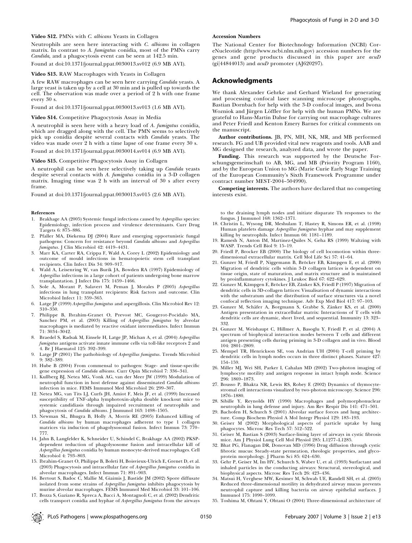### Video S12. PMNs with C. albicans Yeasts in Collagen

Neutrophils are seen here interacting with C. albicans in collagen matrix. In contrast to A. fumigatus conidia, most of the PMNs carry Candida, and a phagocytosis event can be seen at 142.5 min. Found at doi:10.1371/journal.ppat.0030013.sv012 (6.9 MB AVI).

### Video S13. RAW Macrophages with Yeasts in Collagen

A few RAW macrophages can be seen here carrying *Candida* yeasts. A large yeast is taken up by a cell at 30 min and is pulled up towards the cell. The observation was made over a period of 2 h with one frame every 30 s.

Found at doi:10.1371/journal.ppat.0030013.sv013 (1.6 MB AVI).

#### Video S14. Competitive Phagocytosis Assay in Media

A neutrophil is seen here with a heavy load of A. fumigatus conidia, which are dragged along with the cell. The PMN seems to selectively pick up conidia despite several contacts with Candida yeasts. The video was made over 2 h with a time lapse of one frame every 30 s.

Found at doi:10.1371/journal.ppat.0030014.sv014 (6.9 MB AVI).

## Video S15. Competitive Phagocytosis Assay in Collagen

A neutrophil can be seen here selectively taking up Candida yeasts despite several contacts with A. fumigatus conidia in a 3-D collagen matrix. Imaging time was 2 h with an interval of 30 s after every frame.

Found at doi:10.1371/journal.ppat.0030013.sv015 (2.6 MB AVI).

#### References

- 1. Brakhage AA (2005) Systemic fungal infections caused by Aspergillus species: Epidemiology, infection process and virulence determinants. Curr Drug Targets 6: 875–886.
- 2. Pfaller MA, Diekema DJ (2004) Rare and emerging opportunistic fungal pathogens: Concern for resistance beyond Candida albicans and Aspergillus fumigatus. J Clin Microbiol 42: 4419–4431.
- 3. Marr KA, Carter RA, Crippa F, Wald A, Corey L (2002) Epidemiology and outcome of mould infections in hematopoietic stem cell transplant recipients. Clin Infect Dis 34: 909–917.
- 4. Wald A, Leisenring W, van Burik JA, Bowden RA (1997) Epidemiology of Aspergillus infections in a large cohort of patients undergoing bone marrow transplantation. J Infect Dis 175: 1459–1466.
- 5. Sole A, Morant P, Salavert M, Peman J, Morales P (2005) Aspergillus infections in lung transplant recipients: Risk factors and outcome. Clin Microbiol Infect 11: 359–365.
- 6. Latge JP (1999) Aspergillus fumigatus and aspergillosis. Clin Microbiol Rev 12: 310–350.
- 7. Philippe B, Ibrahim-Granet O, Prevost MC, Gougerot-Pocidalo MA, Sanchez PM, et al. (2003) Killing of Aspergillus fumigatus by alveolar macrophages is mediated by reactive oxidant intermediates. Infect Immun 71: 3034–3042.
- 8. Braedel S, Radsak M, Einsele H, Latge JP, Michan A, et al. (2004) Aspergillus  $f$ umigatus antigens activate innate immune cells via toll-like receptors  $2$  and 4. Br J Haematol 125: 392–399.
- 9. Latge JP (2001) The pathobiology of Aspergillus fumigatus. Trends Microbiol 9: 382–389.
- 10. Hube B (2004) From commensal to pathogen: Stage- and tissue-specific gene expression of Candida albicans. Curr Opin Microbiol 7: 336–341.
- 11. Kullberg BJ, Netea MG, Vonk AG, van der Meer JW (1999) Modulation of neutrophil function in host defense against disseminated Candida albicans infection in mice. FEMS Immunol Med Microbiol 26: 299–307.
- 12. Netea MG, van Tits LJ, Curfs JH, Amiot F, Meis JF, et al. (1999) Increased susceptibility of TNF-alpha lymphotoxin-alpha double knockout mice to systemic candidiasis through impaired recruitment of neutrophils and phagocytosis of Candida albicans. J Immunol 163: 1498–1505.
- 13. Newman SL, Bhugra B, Holly A, Morris RE (2005) Enhanced killing of Candida albicans by human macrophages adherent to type 1 collagen matrices via induction of phagolysosomal fusion. Infect Immun 73: 770– 777.
- 14. Jahn B, Langfelder K, Schneider U, Schindel C, Brakhage AA (2002) PKSPdependent reduction of phagolysosome fusion and intracellular kill of Aspergillus fumigatus conidia by human monocyte-derived macrophages. Cell Microbiol 4: 793–803.
- 15. Ibrahim-Granet O, Philippe B, Boleti H, Boisvieux-Ulrich E, Grenet D, et al. (2003) Phagocytosis and intracellular fate of Aspergillus fumigatus conidia in alveolar macrophages. Infect Immun 71: 891–903.
- 16. Bertout S, Badoc C, Mallie M, Giaimis J, Bastide JM (2002) Spore diffusate isolated from some strains of Aspergillus fumigatus inhibits phagocytosis by murine alveolar macrophages. FEMS Immunol Med Microbiol 33: 101–106.
- 17. Bozza S, Gaziano R, Spreca A, Bacci A, Montagnoli C, et al. (2002) Dendritic cells transport conidia and hyphae of Aspergillus fumigatus from the airways

## Accession Numbers

The National Center for Biotechnology Information (NCBI) CoreNucleotide (http://www.ncbi.nlm.nih.gov) accession numbers for the genes and gene products discussed in this paper are acuD  $\chi$ (gi|44844013) and *acuD* promoter (AJ620297).

## Acknowledgments

We thank Alexander Gehrke and Gerhard Wieland for generating and processing confocal laser scanning microscope photographs, Bastian Dornbach for help with the 3-D confocal images, and Iwona Wozniok and Jürgen Löffler for help with the human PMNs. We are grateful to Hans-Martin Dahse for carrying out macrophage cultures and Peter Friedl and Kenton Emery Barnes for critical comments on the manuscript.

Author contributions. JB, PN, MH, NK, MR, and MB performed research. FG and UB provided vital new reagents and tools. AAB and MG designed the research, analyzed data, and wrote the paper.

Funding. This research was supported by the Deutsche Forschungsgemeinschaft to AB, MG, and MB (Priority Program 1160), and by the European Union to MG (Marie Curie Early Stage Training of the European Community's Sixth Framework Programme under contract number MEST-2004–504990).

Competing interests. The authors have declared that no competing interests exist.

to the draining lymph nodes and initiate disparate Th responses to the fungus. J Immunol 168: 1362–1371.

- 18. Christin L, Wysong DR, Meshulam T, Hastey R, Simons ER, et al. (1998) Human platelets damage Aspergillus fumigatus hyphae and may supplement killing by neutrophils. Infect Immun 66: 1181–1189.
- 19. Ramesh N, Anton IM, Martinez-Quiles N, Geha RS (1999) Waltzing with WASP. Trends Cell Biol 9: 15–19.
- 20. Friedl P, Brocker EB (2000) The biology of cell locomotion within threedimensional extracellular matrix. Cell Mol Life Sci 57: 41–64.
- 21. Gunzer M, Friedl P, Niggemann B, Bröcker EB, Kämpgen E, et al. (2000) Migration of dendritic cells within 3-D collagen lattices is dependent on tissue origin, state of maturation, and matrix structure and is maintained by proinflammatory cytokines. J Leukoc Biol 67: 622–629.
- 22. Gunzer M, Kämpgen E, Bröcker EB, Zänker KS, Friedl P (1997) Migration of dendritic cells in 3D-collagen lattices: Visualisation of dynamic interactions with the substratum and the distribution of surface structures via a novel
- confocal reflection imaging technique. Adv Exp Med Biol 417: 97-103.<br>23. Gunzer M, Schäfer A, Borgmann S, Grabbe S, Zänker KS, et al. (2000) Antigen presentation in extracellular matrix: Interactions of T cells with dendritic cells are dynamic, short lived, and sequential. Immunity 13: 323– 332.
- 24. Gunzer M, Weishaupt C, Hillmer A, Basoglu Y, Friedl P, et al. (2004) A spectrum of biophysical interaction modes between T cells and different antigen presenting cells during priming in 3-D collagen and in vivo. Blood 104: 2801–2809.
- 25. Mempel TR, Henrickson SE, von Andrian UH (2004) T-cell priming by dendritic cells in lymph nodes occurs in three distinct phases. Nature 427: 154–159.
- 26. Miller MJ, Wei SH, Parker I, Cahalan MD (2002) Two-photon imaging of lymphocyte motility and antigen response in intact lymph node. Science 296: 1869–1873.
- 27. Bousso P, Bhakta NR, Lewis RS, Robey E (2002) Dynamics of thymocytestromal cell interactions visualized by two-photon microscopy. Science 296: 1876–1880.
- 28. Sibille Y, Reynolds HY (1990) Macrophages and polymorphonuclear neutrophils in lung defense and injury. Am Rev Respir Dis 141: 471–501.
- 29. Bachofen H, Schurch S (2001) Alveolar surface forces and lung architecture. Comp Biochem Physiol A Mol Integr Physiol 129: 183–193.
- 30. Geiser M (2002) Morphological aspects of particle uptake by lung phagocytes. Microsc Res Tech 57: 512–522.
- 31. Geiser M, Bastian S (2003) Surface-lining layer of airways in cystic fibrosis mice. Am J Physiol Lung Cell Mol Physiol 285: L1277–L1285.
- 32. Bhat PG, Flanagan DR, Donovan MD (1996) Drug diffusion through cystic fibrotic mucus: Steady-state permeation, rheologic properties, and glyco-
- protein morphology. J Pharm Sci 85: 624–630. 33. Gehr P, Geiser M, Im HV, Schurch S, Waber U, et al. (1993) Surfactant and inhaled particles in the conducting airways: Structural, stereological, and biophysical aspects. Microsc Res Tech 26: 423–436.
- 34. Matsui H, Verghese MW, Kesimer M, Schwab UE, Randell SH, et al. (2005) Reduced three-dimensional motility in dehydrated airway mucus prevents neutrophil capture and killing bacteria on airway epithelial surfaces. J Immunol 175: 1090–1099.
- 35. Toshima M, Ohtani Y, Ohtani O (2004) Three-dimensional architecture of